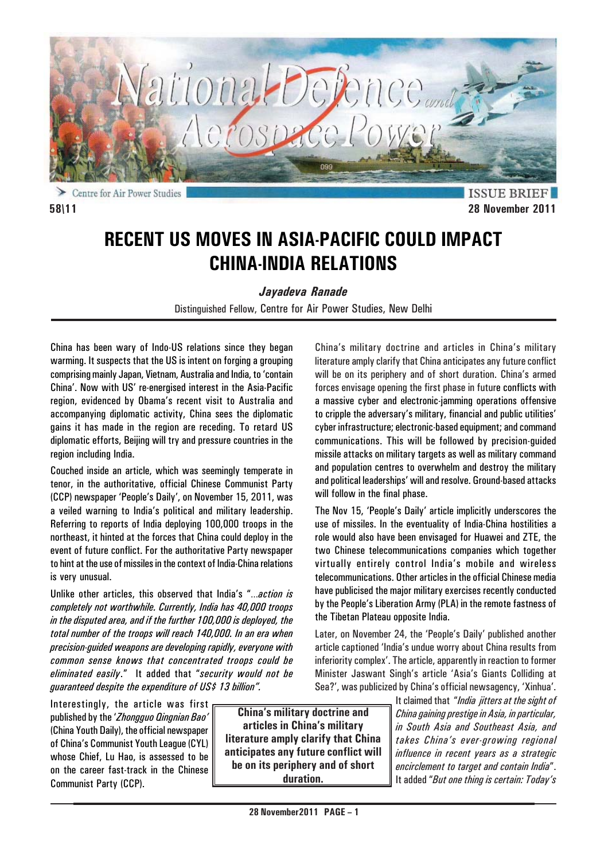

**ISSUE BRIE 58\11 28 November 2011**

# **RECENT US MOVES IN ASIA-PACIFIC COULD IMPACT CHINA-INDIA RELATIONS**

*Jayadeva Ranade*

Distinguished Fellow, Centre for Air Power Studies, New Delhi

China has been wary of Indo-US relations since they began warming. It suspects that the US is intent on forging a grouping comprising mainly Japan, Vietnam, Australia and India, to 'contain China'. Now with US' re-energised interest in the Asia-Pacific region, evidenced by Obama's recent visit to Australia and accompanying diplomatic activity, China sees the diplomatic gains it has made in the region are receding. To retard US diplomatic efforts, Beijing will try and pressure countries in the region including India.

Couched inside an article, which was seemingly temperate in tenor, in the authoritative, official Chinese Communist Party (CCP) newspaper 'People's Daily', on November 15, 2011, was a veiled warning to India's political and military leadership. Referring to reports of India deploying 100,000 troops in the northeast, it hinted at the forces that China could deploy in the event of future conflict. For the authoritative Party newspaper to hint at the use of missiles in the context of India-China relations is very unusual.

Unlike other articles, this observed that India's "…*action is completely not worthwhile. Currently, India has 40,000 troops in the disputed area, and if the further 100,000 is deployed, the total number of the troops will reach 140,000. In an era when precision-guided weapons are developing rapidly, everyone with common sense knows that concentrated troops could be eliminated easily*." It added that "*security would not be guaranteed despite the expenditure of US\$ 13 billion".*

Interestingly, the article was first published by the '*Zhongguo Qingnian Bao'* (China Youth Daily), the official newspaper of China's Communist Youth League (CYL) whose Chief, Lu Hao, is assessed to be on the career fast-track in the Chinese Communist Party (CCP).

**China's military doctrine and articles in China's military literature amply clarify that China anticipates any future conflict will be on its periphery and of short duration.**

China's military doctrine and articles in China's military literature amply clarify that China anticipates any future conflict will be on its periphery and of short duration. China's armed forces envisage opening the first phase in future conflicts with a massive cyber and electronic-jamming operations offensive to cripple the adversary's military, financial and public utilities' cyber infrastructure; electronic-based equipment; and command communications. This will be followed by precision-guided missile attacks on military targets as well as military command and population centres to overwhelm and destroy the military and political leaderships' will and resolve. Ground-based attacks will follow in the final phase.

The Nov 15, 'People's Daily' article implicitly underscores the use of missiles. In the eventuality of India-China hostilities a role would also have been envisaged for Huawei and ZTE, the two Chinese telecommunications companies which together virtually entirely control India's mobile and wireless telecommunications. Other articles in the official Chinese media have publicised the major military exercises recently conducted by the People's Liberation Army (PLA) in the remote fastness of the Tibetan Plateau opposite India.

Later, on November 24, the 'People's Daily' published another article captioned 'India's undue worry about China results from inferiority complex'. The article, apparently in reaction to former Minister Jaswant Singh's article 'Asia's Giants Colliding at Sea?', was publicized by China's official newsagency, 'Xinhua'.

It claimed that "*India jitters at the sight of China gaining prestige in Asia, in particular, in South Asia and Southeast Asia, and takes China's ever-growing regional influence in recent years as a strategic encirclement to target and contain India*". It added "*But one thing is certain: Today's*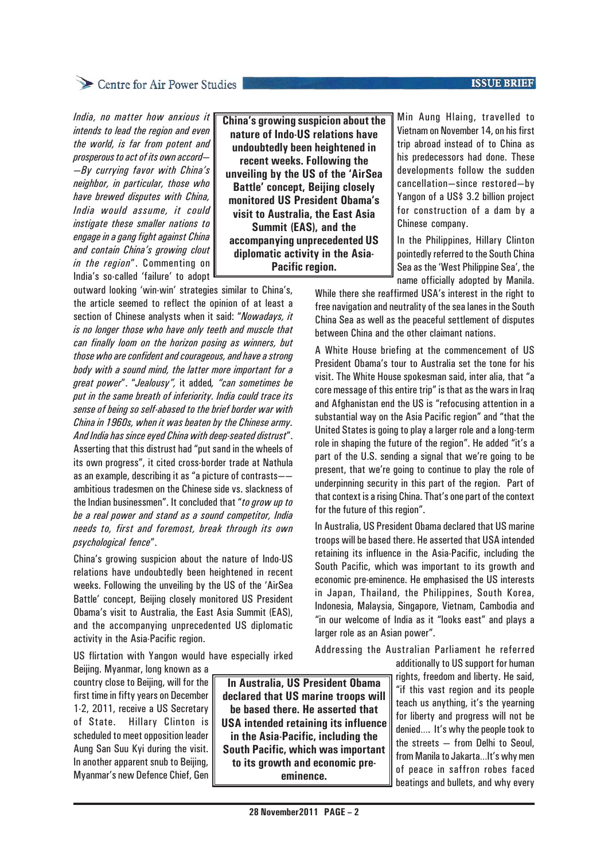### **ISSUE BRIEF**

## Centre for Air Power Studies

*India, no matter how anxious it intends to lead the region and even the world, is far from potent and prosperous to act of its own accord— —By currying favor with China's neighbor, in particular, those who have brewed disputes with China, India would assume, it could instigate these smaller nations to engage in a gang fight against China and contain China's growing clout in the region*". Commenting on India's so-called 'failure' to adopt

outward looking 'win-win' strategies similar to China's, the article seemed to reflect the opinion of at least a section of Chinese analysts when it said: "*Nowadays, it is no longer those who have only teeth and muscle that can finally loom on the horizon posing as winners, but those who are confident and courageous, and have a strong body with a sound mind, the latter more important for a great power*". "*Jealousy",* it added*, "can sometimes be put in the same breath of inferiority. India could trace its sense of being so self-abased to the brief border war with China in 1960s, when it was beaten by the Chinese army. And India has since eyed China with deep-seated distrust*". Asserting that this distrust had "put sand in the wheels of its own progress", it cited cross-border trade at Nathula as an example, describing it as "a picture of contrasts— ambitious tradesmen on the Chinese side vs. slackness of the Indian businessmen". It concluded that "*to grow up to be a real power and stand as a sound competitor, India needs to, first and foremost, break through its own psychological fence*".

China's growing suspicion about the nature of Indo-US relations have undoubtedly been heightened in recent weeks. Following the unveiling by the US of the 'AirSea Battle' concept, Beijing closely monitored US President Obama's visit to Australia, the East Asia Summit (EAS), and the accompanying unprecedented US diplomatic activity in the Asia-Pacific region.

US flirtation with Yangon would have especially irked

Beijing. Myanmar, long known as a country close to Beijing, will for the first time in fifty years on December 1-2, 2011, receive a US Secretary of State. Hillary Clinton is scheduled to meet opposition leader Aung San Suu Kyi during the visit. In another apparent snub to Beijing, Myanmar's new Defence Chief, Gen

**In Australia, US President Obama declared that US marine troops will be based there. He asserted that USA intended retaining its influence in the Asia-Pacific, including the South Pacific, which was important to its growth and economic preeminence.**

**China's growing suspicion about the nature of Indo-US relations have undoubtedly been heightened in recent weeks. Following the unveiling by the US of the 'AirSea Battle' concept, Beijing closely monitored US President Obama's visit to Australia, the East Asia Summit (EAS), and the accompanying unprecedented US diplomatic activity in the Asia-Pacific region.**

Min Aung Hlaing, travelled to Vietnam on November 14, on his first trip abroad instead of to China as his predecessors had done. These developments follow the sudden cancellation—since restored—by Yangon of a US\$ 3.2 billion project for construction of a dam by a Chinese company.

In the Philippines, Hillary Clinton pointedly referred to the South China Sea as the 'West Philippine Sea', the name officially adopted by Manila.

While there she reaffirmed USA's interest in the right to free navigation and neutrality of the sea lanes in the South China Sea as well as the peaceful settlement of disputes between China and the other claimant nations.

A White House briefing at the commencement of US President Obama's tour to Australia set the tone for his visit. The White House spokesman said, inter alia, that "a core message of this entire trip" is that as the wars in Iraq and Afghanistan end the US is "refocusing attention in a substantial way on the Asia Pacific region" and "that the United States is going to play a larger role and a long-term role in shaping the future of the region". He added "it's a part of the U.S. sending a signal that we're going to be present, that we're going to continue to play the role of underpinning security in this part of the region. Part of that context is a rising China. That's one part of the context for the future of this region".

In Australia, US President Obama declared that US marine troops will be based there. He asserted that USA intended retaining its influence in the Asia-Pacific, including the South Pacific, which was important to its growth and economic pre-eminence. He emphasised the US interests in Japan, Thailand, the Philippines, South Korea, Indonesia, Malaysia, Singapore, Vietnam, Cambodia and "in our welcome of India as it "looks east" and plays a larger role as an Asian power".

Addressing the Australian Parliament he referred

additionally to US support for human rights, freedom and liberty. He said, "if this vast region and its people teach us anything, it's the yearning for liberty and progress will not be denied…. It's why the people took to the streets — from Delhi to Seoul, from Manila to Jakarta…It's why men of peace in saffron robes faced beatings and bullets, and why every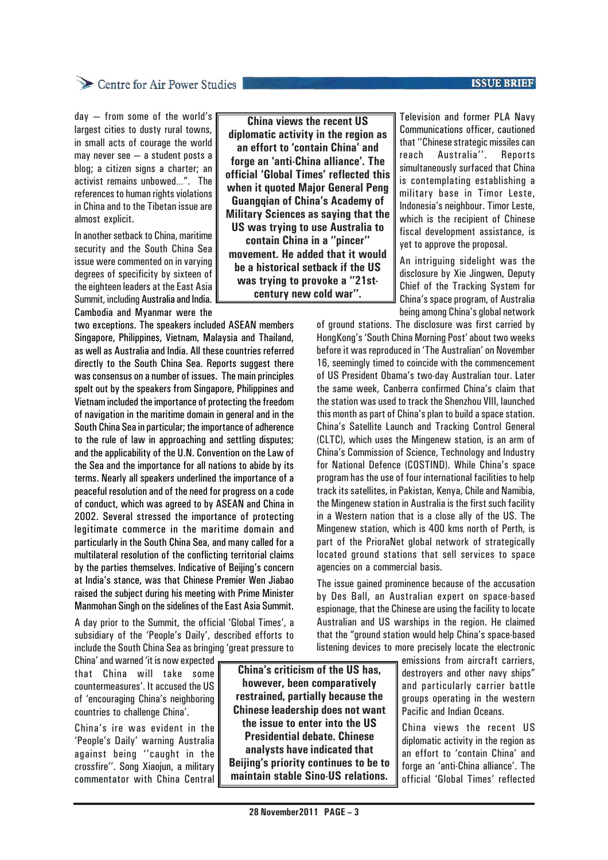### **ISSUE BRIEF**

## Centre for Air Power Studies

day — from some of the world's largest cities to dusty rural towns, in small acts of courage the world may never see — a student posts a blog; a citizen signs a charter; an activist remains unbowed…". The references to human rights violations in China and to the Tibetan issue are almost explicit.

In another setback to China, maritime security and the South China Sea issue were commented on in varying degrees of specificity by sixteen of the eighteen leaders at the East Asia Summit, including Australia and India. Cambodia and Myanmar were the

two exceptions. The speakers included ASEAN members Singapore, Philippines, Vietnam, Malaysia and Thailand, as well as Australia and India. All these countries referred directly to the South China Sea. Reports suggest there was consensus on a number of issues. The main principles spelt out by the speakers from Singapore, Philippines and Vietnam included the importance of protecting the freedom of navigation in the maritime domain in general and in the South China Sea in particular; the importance of adherence to the rule of law in approaching and settling disputes; and the applicability of the U.N. Convention on the Law of the Sea and the importance for all nations to abide by its terms. Nearly all speakers underlined the importance of a peaceful resolution and of the need for progress on a code of conduct, which was agreed to by ASEAN and China in 2002. Several stressed the importance of protecting legitimate commerce in the maritime domain and particularly in the South China Sea, and many called for a multilateral resolution of the conflicting territorial claims by the parties themselves. Indicative of Beijing's concern at India's stance, was that Chinese Premier Wen Jiabao raised the subject during his meeting with Prime Minister Manmohan Singh on the sidelines of the East Asia Summit.

A day prior to the Summit, the official 'Global Times', a subsidiary of the 'People's Daily', described efforts to include the South China Sea as bringing 'great pressure to

China' and warned 'it is now expected that China will take some countermeasures'. It accused the US of 'encouraging China's neighboring countries to challenge China'.

China's ire was evident in the 'People's Daily' warning Australia against being ''caught in the crossfire''. Song Xiaojun, a military commentator with China Central

**China views the recent US diplomatic activity in the region as an effort to 'contain China' and forge an 'anti-China alliance'. The official 'Global Times' reflected this when it quoted Major General Peng Guangqian of China's Academy of Military Sciences as saying that the US was trying to use Australia to contain China in a ''pincer'' movement. He added that it would be a historical setback if the US was trying to provoke a ''21stcentury new cold war''.**

Television and former PLA Navy Communications officer, cautioned that ''Chinese strategic missiles can reach Australia''. Reports simultaneously surfaced that China is contemplating establishing a military base in Timor Leste, Indonesia's neighbour. Timor Leste, which is the recipient of Chinese fiscal development assistance, is yet to approve the proposal.

An intriguing sidelight was the disclosure by Xie Jingwen, Deputy Chief of the Tracking System for China's space program, of Australia being among China's global network

of ground stations. The disclosure was first carried by HongKong's 'South China Morning Post' about two weeks before it was reproduced in 'The Australian' on November 16, seemingly timed to coincide with the commencement of US President Obama's two-day Australian tour. Later the same week, Canberra confirmed China's claim that the station was used to track the Shenzhou VIII, launched this month as part of China's plan to build a space station. China's Satellite Launch and Tracking Control General (CLTC), which uses the Mingenew station, is an arm of China's Commission of Science, Technology and Industry for National Defence (COSTIND). While China's space program has the use of four international facilities to help track its satellites, in Pakistan, Kenya, Chile and Namibia, the Mingenew station in Australia is the first such facility in a Western nation that is a close ally of the US. The Mingenew station, which is 400 kms north of Perth, is part of the PrioraNet global network of strategically located ground stations that sell services to space agencies on a commercial basis.

The issue gained prominence because of the accusation by Des Ball, an Australian expert on space-based espionage, that the Chinese are using the facility to locate Australian and US warships in the region. He claimed that the "ground station would help China's space-based listening devices to more precisely locate the electronic

> emissions from aircraft carriers, destroyers and other navy ships" and particularly carrier battle groups operating in the western Pacific and Indian Oceans.

> China views the recent US diplomatic activity in the region as an effort to 'contain China' and forge an 'anti-China alliance'. The official 'Global Times' reflected

**China's criticism of the US has, however, been comparatively restrained, partially because the Chinese leadership does not want the issue to enter into the US Presidential debate. Chinese analysts have indicated that Beijing's priority continues to be to maintain stable Sino-US relations.**